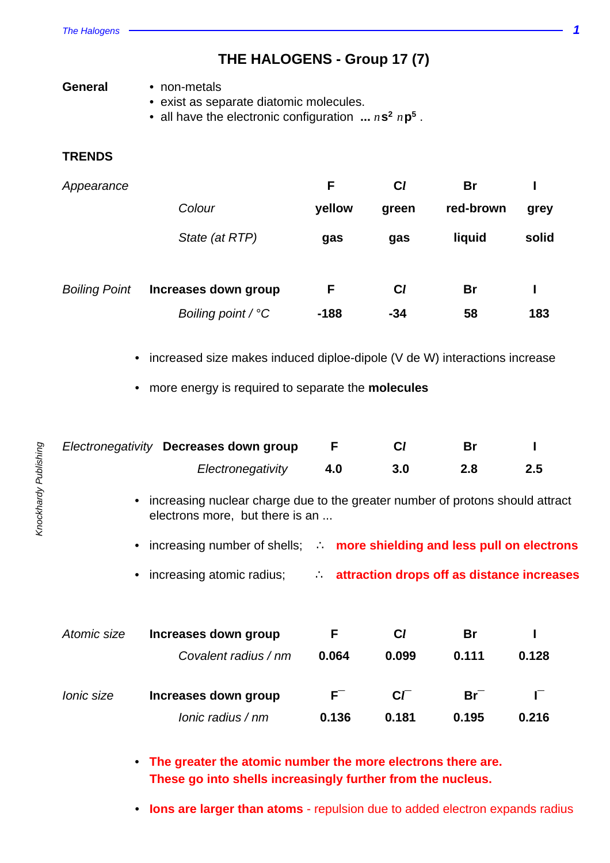**THE HALOGENS - Group 17 (7)**

| General | • non-metals |
|---------|--------------|
|         |              |

- exist as separate diatomic molecules.
- all have the electronic configuration  $\ldots n$  s<sup>2</sup>  $n$  p<sup>5</sup>.

## **TRENDS**

| Appearance           |                      | F      | $C_l$ | <b>Br</b> |       |
|----------------------|----------------------|--------|-------|-----------|-------|
|                      | Colour               | yellow | green | red-brown | grey  |
|                      | State (at RTP)       | gas    | gas   | liquid    | solid |
| <b>Boiling Point</b> | Increases down group | F      | $c_l$ | <b>Br</b> |       |
|                      | Boiling point / $°C$ | $-188$ | $-34$ | 58        | 183   |

- increased size makes induced diploe-dipole (V de W) interactions increase
- more energy is required to separate the **molecules**

|                   | Electronegativity Decreases down group                                                                             | F     | $c_l$     | Br        |                                            |  |
|-------------------|--------------------------------------------------------------------------------------------------------------------|-------|-----------|-----------|--------------------------------------------|--|
|                   | Electronegativity                                                                                                  | 4.0   | 3.0       | 2.8       | 2.5                                        |  |
|                   | • increasing nuclear charge due to the greater number of protons should attract<br>electrons more, but there is an |       |           |           |                                            |  |
|                   | • increasing number of shells;  more shielding and less pull on electrons                                          |       |           |           |                                            |  |
|                   | • increasing atomic radius;                                                                                        |       |           |           | attraction drops off as distance increases |  |
|                   |                                                                                                                    |       |           |           |                                            |  |
| Atomic size       | Increases down group                                                                                               | F     | $c_l$     | <b>Br</b> |                                            |  |
|                   | Covalent radius / nm                                                                                               | 0.064 | 0.099     | 0.111     | 0.128                                      |  |
| <i>lonic</i> size | Increases down group                                                                                               | $F^-$ | $C\Gamma$ | $Br^-$    | F                                          |  |
|                   | $Ionic$ radius $/nm$                                                                                               | 0.136 | 0.181     | 0.195     | 0.216                                      |  |
|                   |                                                                                                                    |       |           |           |                                            |  |

• **The greater the atomic number the more electrons there are. These go into shells increasingly further from the nucleus.**

• **Ions are larger than atoms** - repulsion due to added electron expands radius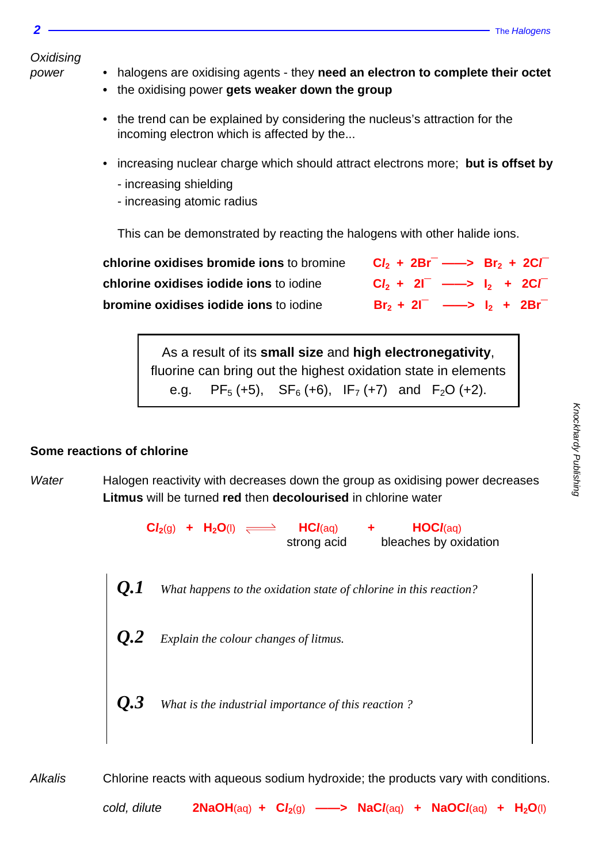**Oxidising** 

- 
- power halogens are oxidising agents they **need an electron to complete their octet**
	- **•** the oxidising power **gets weaker down the group**
	- the trend can be explained by considering the nucleus's attraction for the incoming electron which is affected by the...
	- increasing nuclear charge which should attract electrons more; **but is offset by**
		- increasing shielding
		- increasing atomic radius

This can be demonstrated by reacting the halogens with other halide ions.

| chlorine oxidises bromide ions to bromine | $Cl_2 + 2Br^-$ ---> $Br_2 + 2Cr^-$                          |  |  |
|-------------------------------------------|-------------------------------------------------------------|--|--|
| chlorine oxidises iodide ions to iodine   | $Cl_2 + 2\Gamma \longrightarrow I_2 + 2\mathbb{C}\Gamma$    |  |  |
| bromine oxidises iodide ions to jodine    | $Br_2 + 2l^{\text{-}} \longrightarrow l_2 + 2Br^{\text{-}}$ |  |  |

As a result of its **small size** and **high electronegativity**, fluorine can bring out the highest oxidation state in elements e.g. PF<sub>5</sub> (+5), SF<sub>6</sub> (+6), IF<sub>7</sub> (+7) and F<sub>2</sub>O (+2).

#### **Some reactions of chlorine**

Water Halogen reactivity with decreases down the group as oxidising power decreases **Litmus** will be turned **red** then **decolourised** in chlorine water

> $\mathbf{Cl}_{2}(g)$  +  $\mathbf{H}_{2}\mathbf{O}(l)$   $\Longleftrightarrow$   $\mathbf{HCl}(aq)$  +  $\mathbf{HOL}(aq)$ strong acid bleaches by oxidation

*Q.1 What happens to the oxidation state of chlorine in this reaction?*

- *Q.2 Explain the colour changes of litmus.*
- *Q.3 What is the industrial importance of this reaction ?*

Alkalis Chlorine reacts with aqueous sodium hydroxide; the products vary with conditions.

cold, dilute **2NaOH**(aq) **+ C***l***2**(g) **——> NaC***l*(aq) **+ NaOC***l*(aq) **+ H2O**(l)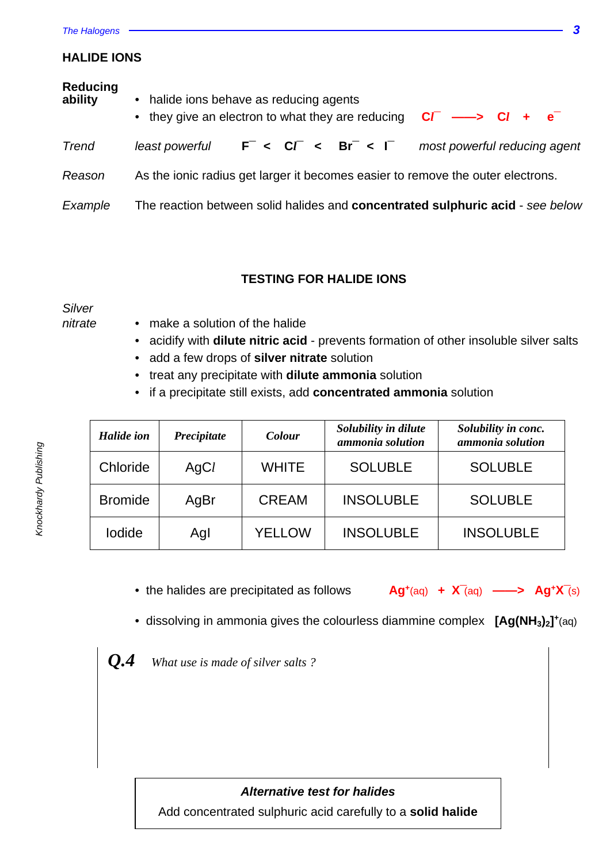#### The Halogens **3**

#### **HALIDE IONS**

| <b>Reducing</b><br>ability | • halide ions behave as reducing agents<br>• they give an electron to what they are reducing $CF \rightarrow Cl + e^-$ |
|----------------------------|------------------------------------------------------------------------------------------------------------------------|
| <b>Trend</b>               | F < CF < Br < F<br>least powerful<br>most powerful reducing agent                                                      |
| Reason                     | As the ionic radius get larger it becomes easier to remove the outer electrons.                                        |
| Example                    | The reaction between solid halides and <b>concentrated sulphuric acid</b> - see below                                  |

# **TESTING FOR HALIDE IONS**

Silver

- nitrate make a solution of the halide
	- acidify with **dilute nitric acid** prevents formation of other insoluble silver salts
	- add a few drops of **silver nitrate** solution
	- treat any precipitate with **dilute ammonia** solution
	- if a precipitate still exists, add **concentrated ammonia** solution

| <b>Halide</b> ion | Precipitate | Colour        | Solubility in dilute<br>ammonia solution | Solubility in conc.<br>ammonia solution |
|-------------------|-------------|---------------|------------------------------------------|-----------------------------------------|
| Chloride          | AgCl        | <b>WHITE</b>  | <b>SOLUBLE</b>                           | <b>SOLUBLE</b>                          |
| <b>Bromide</b>    | AgBr        | <b>CREAM</b>  | <b>INSOLUBLE</b>                         | <b>SOLUBLE</b>                          |
| lodide            | Agl         | <b>YELLOW</b> | <b>INSOLUBLE</b>                         | <b>INSOLUBLE</b>                        |

- the halides are precipitated as follows **Ag**<sup>+</sup>(aq) +  $X$ <sup>-</sup>(aq) ——> Ag<sup>+</sup>X<sup>-</sup>(s)
- dissolving in ammonia gives the colourless diammine complex **[Ag(NH3)2] +** (aq)
- *Q.4 What use is made of silver salts ?*

#### **Alternative test for halides**

Add concentrated sulphuric acid carefully to a **solid halide**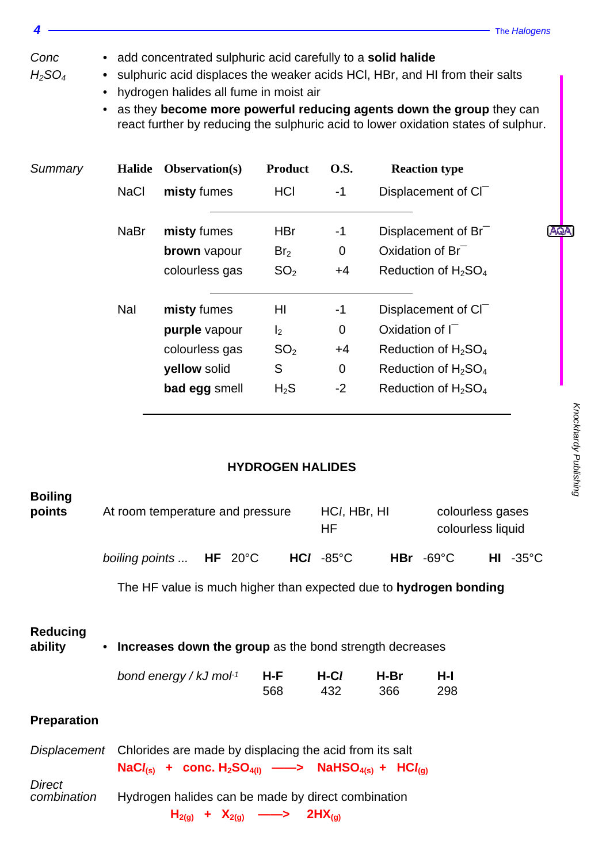# Conc • add concentrated sulphuric acid carefully to a **solid halide**

- H2SO<sup>4</sup> **•** sulphuric acid displaces the weaker acids HCl, HBr, and HI from their salts
	- hydrogen halides all fume in moist air
	- as they **become more powerful reducing agents down the group** they can react further by reducing the sulphuric acid to lower oxidation states of sulphur.

| Summary | <b>Halide</b> | <b>Observation(s)</b> | <b>Product</b>  | <b>O.S.</b>    | <b>Reaction type</b>                        |      |  |
|---------|---------------|-----------------------|-----------------|----------------|---------------------------------------------|------|--|
|         | <b>NaCl</b>   | misty fumes           | HCI             | $-1$           | Displacement of CI <sup>-</sup>             |      |  |
|         | <b>NaBr</b>   | misty fumes           | <b>HBr</b>      | -1             | Displacement of Br <sup>-</sup>             | AQA) |  |
|         |               | <b>brown</b> vapour   | Br <sub>2</sub> | $\mathbf 0$    | Oxidation of Br <sup>-</sup>                |      |  |
|         |               | colourless gas        | SO <sub>2</sub> | $+4$           | Reduction of H <sub>2</sub> SO <sub>4</sub> |      |  |
|         | Nal           | misty fumes           | HI              | $-1$           | Displacement of CI <sup>-</sup>             |      |  |
|         |               | purple vapour         | I <sub>2</sub>  | $\overline{0}$ | Oxidation of $\Gamma$                       |      |  |
|         |               | colourless gas        | SO <sub>2</sub> | $+4$           | Reduction of $H_2SO_4$                      |      |  |
|         |               | yellow solid          | S               | $\overline{0}$ | Reduction of $H_2SO_4$                      |      |  |
|         |               | bad egg smell         | $H_2S$          | $-2$           | Reduction of $H_2SO_4$                      |      |  |

## **HYDROGEN HALIDES**

| <b>Boiling</b><br>points     |                                                                                                                                                                                             | At room temperature and pressure                |  | $HCl$ , HBr, HI<br>HF |             | colourless gases<br>colourless liquid |                    |  |
|------------------------------|---------------------------------------------------------------------------------------------------------------------------------------------------------------------------------------------|-------------------------------------------------|--|-----------------------|-------------|---------------------------------------|--------------------|--|
|                              | boiling points $HF$ 20°C $HCl$ -85°C                                                                                                                                                        |                                                 |  |                       |             | $HBr - 69^{\circ}C$                   | $HI - 35^{\circ}C$ |  |
|                              | The HF value is much higher than expected due to hydrogen bonding                                                                                                                           |                                                 |  |                       |             |                                       |                    |  |
| <b>Reducing</b><br>ability   | • Increases down the group as the bond strength decreases<br>bond energy / kJ mol <sup>-1</sup>                                                                                             | H-F<br>568                                      |  | H-C <i>l</i><br>432   | H-Br<br>366 | H-I<br>298                            |                    |  |
| <b>Preparation</b>           |                                                                                                                                                                                             |                                                 |  |                       |             |                                       |                    |  |
|                              | Displacement Chlorides are made by displacing the acid from its salt<br>$\text{NaCl}_{(s)}$ + conc. $\text{H}_{2}\text{SO}_{4(l)} \longrightarrow \text{NaHSO}_{4(s)}$ + $\text{HCl}_{(q)}$ |                                                 |  |                       |             |                                       |                    |  |
| <b>Direct</b><br>combination | Hydrogen halides can be made by direct combination                                                                                                                                          | $H_{2(g)} + X_{2(g)} \longrightarrow 2HX_{(g)}$ |  |                       |             |                                       |                    |  |